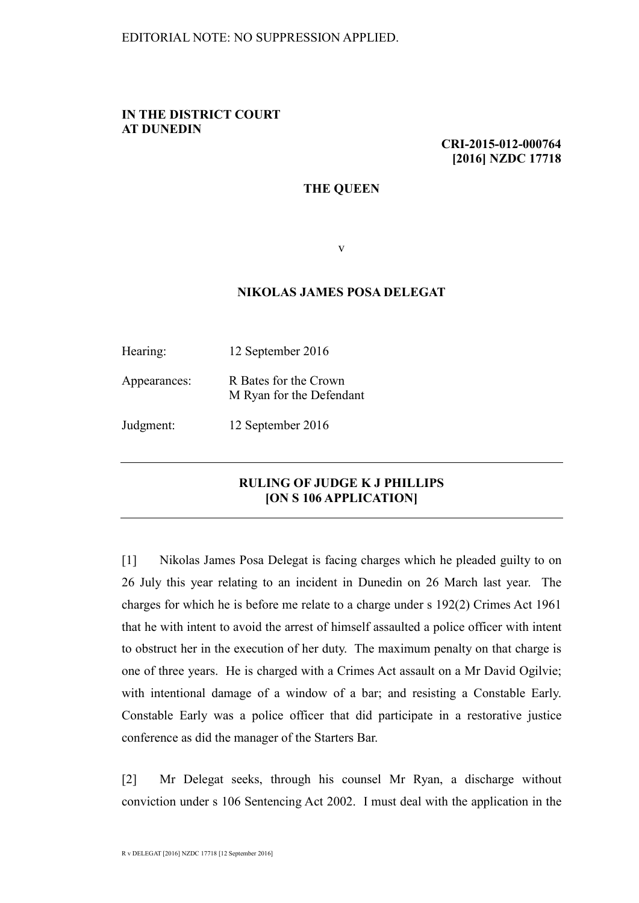## **IN THE DISTRICT COURT AT DUNEDIN**

**CRI-2015-012-000764 [2016] NZDC 17718**

## **THE QUEEN**

v

## **NIKOLAS JAMES POSA DELEGAT**

| Hearing:     | 12 September 2016                                 |
|--------------|---------------------------------------------------|
| Appearances: | R Bates for the Crown<br>M Ryan for the Defendant |
| Judgment:    | 12 September 2016                                 |

## **RULING OF JUDGE K J PHILLIPS [ON S 106 APPLICATION]**

[1] Nikolas James Posa Delegat is facing charges which he pleaded guilty to on 26 July this year relating to an incident in Dunedin on 26 March last year. The charges for which he is before me relate to a charge under s 192(2) Crimes Act 1961 that he with intent to avoid the arrest of himself assaulted a police officer with intent to obstruct her in the execution of her duty. The maximum penalty on that charge is one of three years. He is charged with a Crimes Act assault on a Mr David Ogilvie; with intentional damage of a window of a bar; and resisting a Constable Early. Constable Early was a police officer that did participate in a restorative justice conference as did the manager of the Starters Bar.

[2] Mr Delegat seeks, through his counsel Mr Ryan, a discharge without conviction under s 106 Sentencing Act 2002. I must deal with the application in the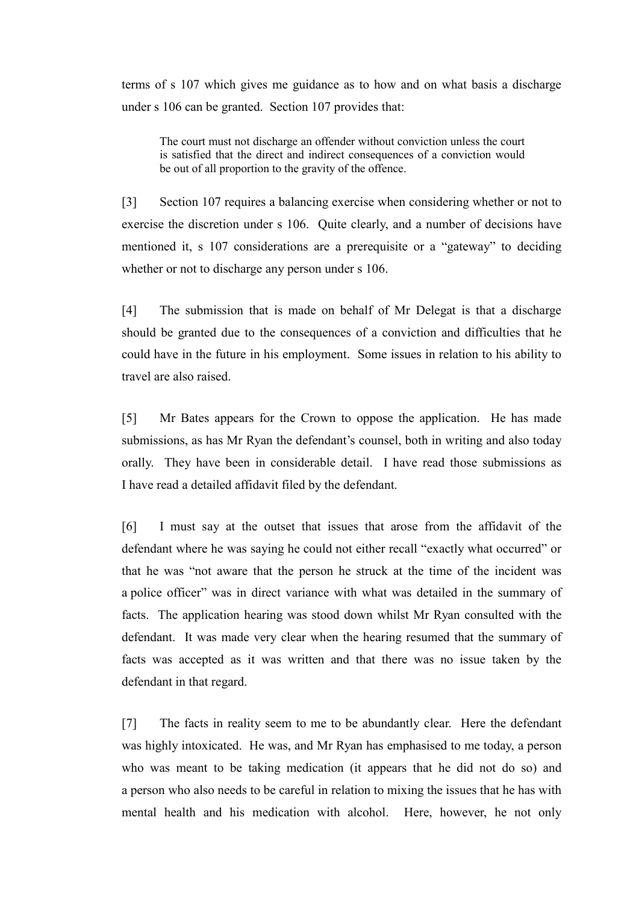terms of s 107 which gives me guidance as to how and on what basis a discharge under s 106 can be granted. Section 107 provides that:

The court must not discharge an offender without conviction unless the court is satisfied that the direct and indirect consequences of a conviction would be out of all proportion to the gravity of the offence.

[3] Section 107 requires a balancing exercise when considering whether or not to exercise the discretion under s 106. Quite clearly, and a number of decisions have mentioned it, s 107 considerations are a prerequisite or a "gateway" to deciding whether or not to discharge any person under s 106.

[4] The submission that is made on behalf of Mr Delegat is that a discharge should be granted due to the consequences of a conviction and difficulties that he could have in the future in his employment. Some issues in relation to his ability to travel are also raised.

[5] Mr Bates appears for the Crown to oppose the application. He has made submissions, as has Mr Ryan the defendant's counsel, both in writing and also today orally. They have been in considerable detail. I have read those submissions as I have read a detailed affidavit filed by the defendant.

[6] I must say at the outset that issues that arose from the affidavit of the defendant where he was saying he could not either recall "exactly what occurred" or that he was "not aware that the person he struck at the time of the incident was a police officer" was in direct variance with what was detailed in the summary of facts. The application hearing was stood down whilst Mr Ryan consulted with the defendant. It was made very clear when the hearing resumed that the summary of facts was accepted as it was written and that there was no issue taken by the defendant in that regard.

[7] The facts in reality seem to me to be abundantly clear. Here the defendant was highly intoxicated. He was, and Mr Ryan has emphasised to me today, a person who was meant to be taking medication (it appears that he did not do so) and a person who also needs to be careful in relation to mixing the issues that he has with mental health and his medication with alcohol. Here, however, he not only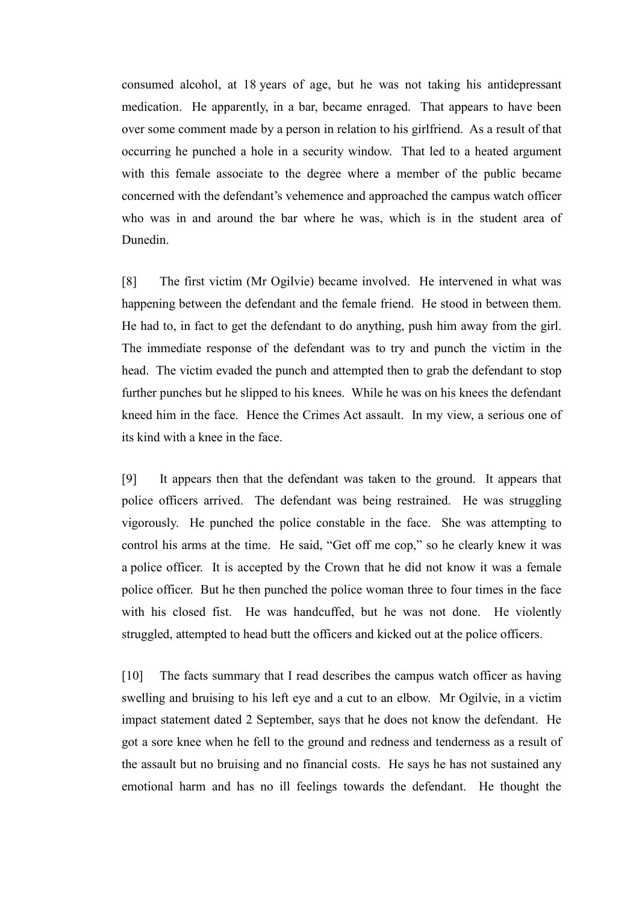consumed alcohol, at 18 years of age, but he was not taking his antidepressant medication. He apparently, in a bar, became enraged. That appears to have been over some comment made by a person in relation to his girlfriend. As a result of that occurring he punched a hole in a security window. That led to a heated argument with this female associate to the degree where a member of the public became concerned with the defendant's vehemence and approached the campus watch officer who was in and around the bar where he was, which is in the student area of Dunedin.

[8] The first victim (Mr Ogilvie) became involved. He intervened in what was happening between the defendant and the female friend. He stood in between them. He had to, in fact to get the defendant to do anything, push him away from the girl. The immediate response of the defendant was to try and punch the victim in the head. The victim evaded the punch and attempted then to grab the defendant to stop further punches but he slipped to his knees. While he was on his knees the defendant kneed him in the face. Hence the Crimes Act assault. In my view, a serious one of its kind with a knee in the face.

[9] It appears then that the defendant was taken to the ground. It appears that police officers arrived. The defendant was being restrained. He was struggling vigorously. He punched the police constable in the face. She was attempting to control his arms at the time. He said, "Get off me cop," so he clearly knew it was a police officer. It is accepted by the Crown that he did not know it was a female police officer. But he then punched the police woman three to four times in the face with his closed fist. He was handcuffed, but he was not done. He violently struggled, attempted to head butt the officers and kicked out at the police officers.

[10] The facts summary that I read describes the campus watch officer as having swelling and bruising to his left eye and a cut to an elbow. Mr Ogilvie, in a victim impact statement dated 2 September, says that he does not know the defendant. He got a sore knee when he fell to the ground and redness and tenderness as a result of the assault but no bruising and no financial costs. He says he has not sustained any emotional harm and has no ill feelings towards the defendant. He thought the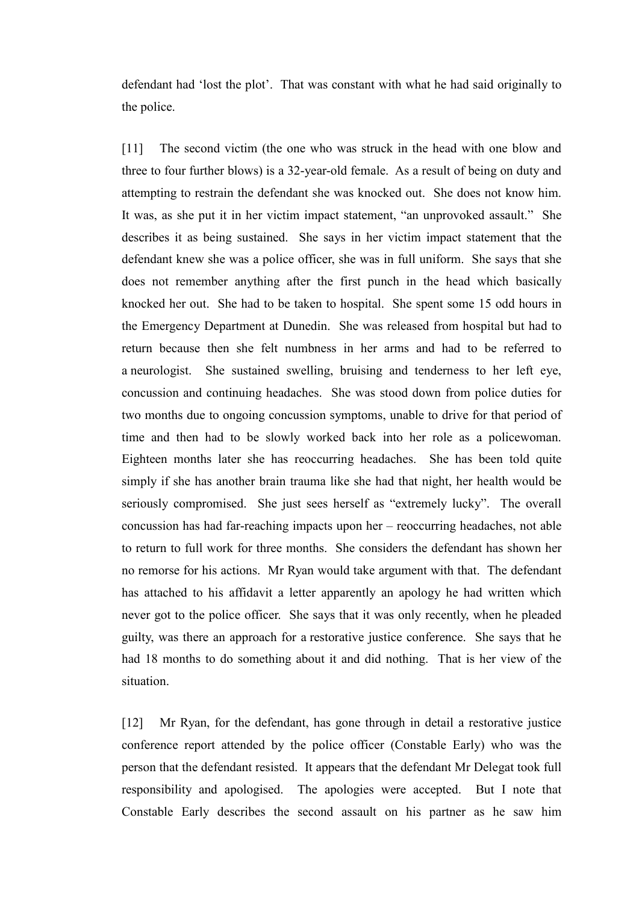defendant had 'lost the plot'. That was constant with what he had said originally to the police.

[11] The second victim (the one who was struck in the head with one blow and three to four further blows) is a 32-year-old female. As a result of being on duty and attempting to restrain the defendant she was knocked out. She does not know him. It was, as she put it in her victim impact statement, "an unprovoked assault." She describes it as being sustained. She says in her victim impact statement that the defendant knew she was a police officer, she was in full uniform. She says that she does not remember anything after the first punch in the head which basically knocked her out. She had to be taken to hospital. She spent some 15 odd hours in the Emergency Department at Dunedin. She was released from hospital but had to return because then she felt numbness in her arms and had to be referred to a neurologist. She sustained swelling, bruising and tenderness to her left eye, concussion and continuing headaches. She was stood down from police duties for two months due to ongoing concussion symptoms, unable to drive for that period of time and then had to be slowly worked back into her role as a policewoman. Eighteen months later she has reoccurring headaches. She has been told quite simply if she has another brain trauma like she had that night, her health would be seriously compromised. She just sees herself as "extremely lucky". The overall concussion has had far-reaching impacts upon her – reoccurring headaches, not able to return to full work for three months. She considers the defendant has shown her no remorse for his actions. Mr Ryan would take argument with that. The defendant has attached to his affidavit a letter apparently an apology he had written which never got to the police officer. She says that it was only recently, when he pleaded guilty, was there an approach for a restorative justice conference. She says that he had 18 months to do something about it and did nothing. That is her view of the situation.

[12] Mr Ryan, for the defendant, has gone through in detail a restorative justice conference report attended by the police officer (Constable Early) who was the person that the defendant resisted. It appears that the defendant Mr Delegat took full responsibility and apologised. The apologies were accepted. But I note that Constable Early describes the second assault on his partner as he saw him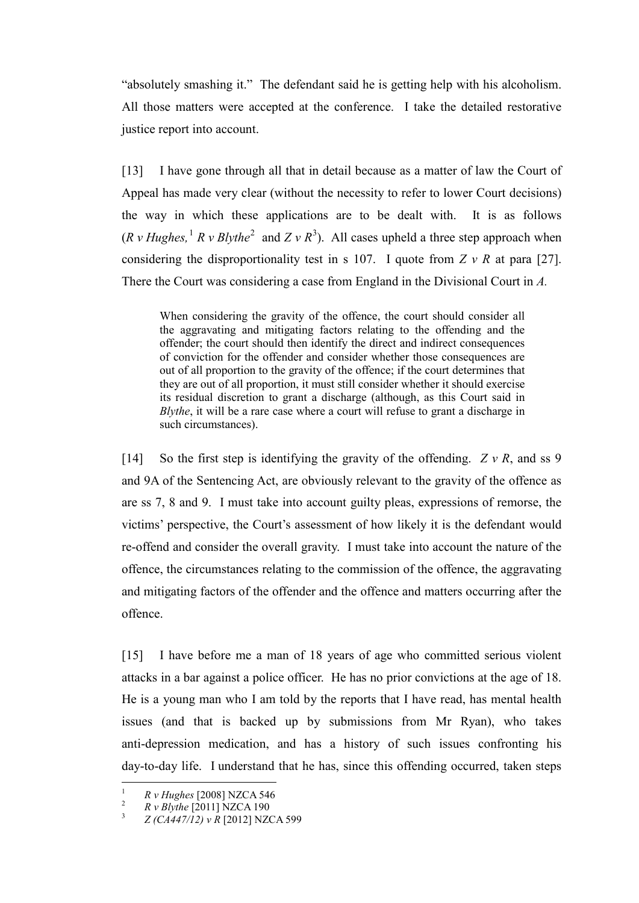"absolutely smashing it." The defendant said he is getting help with his alcoholism. All those matters were accepted at the conference. I take the detailed restorative justice report into account.

[13] I have gone through all that in detail because as a matter of law the Court of Appeal has made very clear (without the necessity to refer to lower Court decisions) the way in which these applications are to be dealt with. It is as follows  $(R \text{ } v \text{ } Hughes, \text{ }^1 \text{ } R \text{ } v \text{ } Bly the^2 \text{ } and Z \text{ } v \text{ } R^3)$  $(R \text{ } v \text{ } Hughes, \text{ }^1 \text{ } R \text{ } v \text{ } Bly the^2 \text{ } and Z \text{ } v \text{ } R^3)$  $(R \text{ } v \text{ } Hughes, \text{ }^1 \text{ } R \text{ } v \text{ } Bly the^2 \text{ } and Z \text{ } v \text{ } R^3)$  $(R \text{ } v \text{ } Hughes, \text{ }^1 \text{ } R \text{ } v \text{ } Bly the^2 \text{ } and Z \text{ } v \text{ } R^3)$  $(R \text{ } v \text{ } Hughes, \text{ }^1 \text{ } R \text{ } v \text{ } Bly the^2 \text{ } and Z \text{ } v \text{ } R^3)$  $(R \text{ } v \text{ } Hughes, \text{ }^1 \text{ } R \text{ } v \text{ } Bly the^2 \text{ } and Z \text{ } v \text{ } R^3)$  $(R \text{ } v \text{ } Hughes, \text{ }^1 \text{ } R \text{ } v \text{ } Bly the^2 \text{ } and Z \text{ } v \text{ } R^3)$ . All cases upheld a three step approach when considering the disproportionality test in s 107. I quote from *Z v R* at para [27]. There the Court was considering a case from England in the Divisional Court in *A.* 

When considering the gravity of the offence, the court should consider all the aggravating and mitigating factors relating to the offending and the offender; the court should then identify the direct and indirect consequences of conviction for the offender and consider whether those consequences are out of all proportion to the gravity of the offence; if the court determines that they are out of all proportion, it must still consider whether it should exercise its residual discretion to grant a discharge (although, as this Court said in *Blythe*, it will be a rare case where a court will refuse to grant a discharge in such circumstances).

[14] So the first step is identifying the gravity of the offending. *Z v R*, and ss 9 and 9A of the Sentencing Act, are obviously relevant to the gravity of the offence as are ss 7, 8 and 9. I must take into account guilty pleas, expressions of remorse, the victims' perspective, the Court's assessment of how likely it is the defendant would re-offend and consider the overall gravity. I must take into account the nature of the offence, the circumstances relating to the commission of the offence, the aggravating and mitigating factors of the offender and the offence and matters occurring after the offence.

[15] I have before me a man of 18 years of age who committed serious violent attacks in a bar against a police officer. He has no prior convictions at the age of 18. He is a young man who I am told by the reports that I have read, has mental health issues (and that is backed up by submissions from Mr Ryan), who takes anti-depression medication, and has a history of such issues confronting his day-to-day life. I understand that he has, since this offending occurred, taken steps

<span id="page-4-2"></span>

<span id="page-4-1"></span><span id="page-4-0"></span><sup>&</sup>lt;sup>1</sup> *R v Hughes* [2008] NZCA 546<br><sup>2</sup> *R v Blythe* [2011] NZCA 190<br><sup>3</sup> *Z (CA447/12) v R* [2012] NZCA 599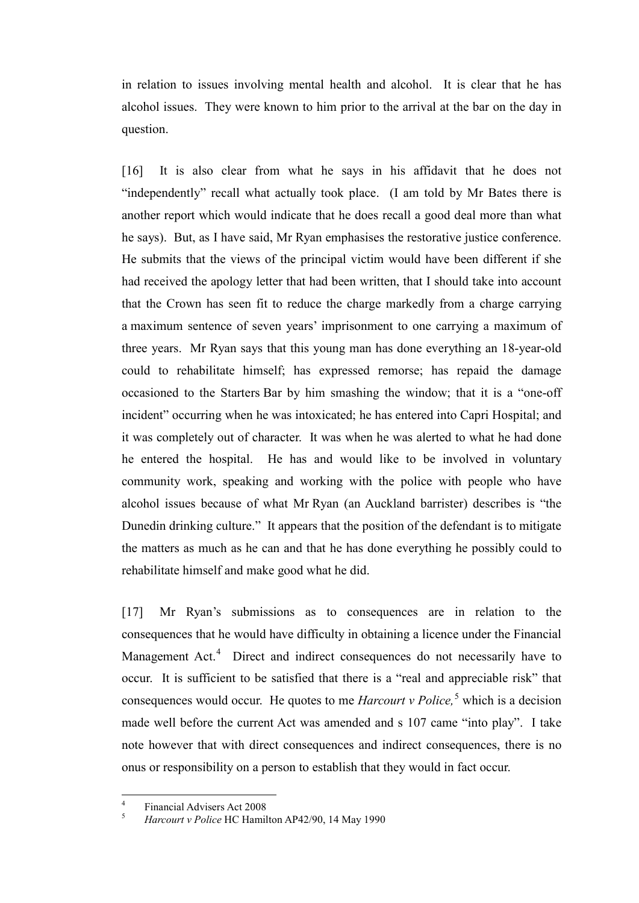in relation to issues involving mental health and alcohol. It is clear that he has alcohol issues. They were known to him prior to the arrival at the bar on the day in question.

[16] It is also clear from what he says in his affidavit that he does not "independently" recall what actually took place. (I am told by Mr Bates there is another report which would indicate that he does recall a good deal more than what he says). But, as I have said, Mr Ryan emphasises the restorative justice conference. He submits that the views of the principal victim would have been different if she had received the apology letter that had been written, that I should take into account that the Crown has seen fit to reduce the charge markedly from a charge carrying a maximum sentence of seven years' imprisonment to one carrying a maximum of three years. Mr Ryan says that this young man has done everything an 18-year-old could to rehabilitate himself; has expressed remorse; has repaid the damage occasioned to the Starters Bar by him smashing the window; that it is a "one-off incident" occurring when he was intoxicated; he has entered into Capri Hospital; and it was completely out of character. It was when he was alerted to what he had done he entered the hospital. He has and would like to be involved in voluntary community work, speaking and working with the police with people who have alcohol issues because of what Mr Ryan (an Auckland barrister) describes is "the Dunedin drinking culture." It appears that the position of the defendant is to mitigate the matters as much as he can and that he has done everything he possibly could to rehabilitate himself and make good what he did.

[17] Mr Ryan's submissions as to consequences are in relation to the consequences that he would have difficulty in obtaining a licence under the Financial Management Act.<sup>[4](#page-5-0)</sup> Direct and indirect consequences do not necessarily have to occur. It is sufficient to be satisfied that there is a "real and appreciable risk" that consequences would occur. He quotes to me *Harcourt v Police,* [5](#page-5-1) which is a decision made well before the current Act was amended and s 107 came "into play". I take note however that with direct consequences and indirect consequences, there is no onus or responsibility on a person to establish that they would in fact occur.

<span id="page-5-1"></span><span id="page-5-0"></span> $\frac{4}{5}$  Financial Advisers Act 2008

<sup>5</sup> *Harcourt v Police* HC Hamilton AP42/90, 14 May 1990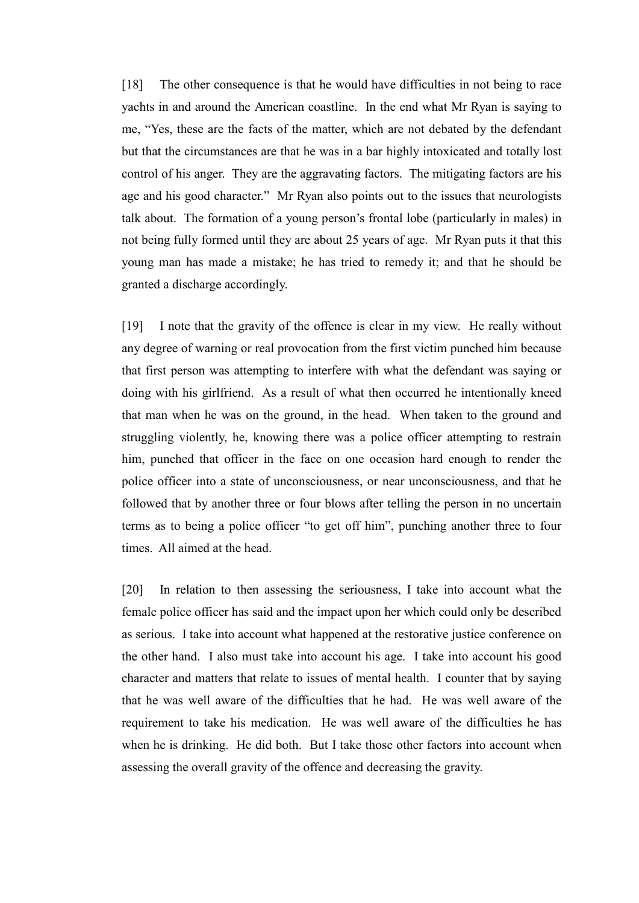[18] The other consequence is that he would have difficulties in not being to race yachts in and around the American coastline. In the end what Mr Ryan is saying to me, "Yes, these are the facts of the matter, which are not debated by the defendant but that the circumstances are that he was in a bar highly intoxicated and totally lost control of his anger. They are the aggravating factors. The mitigating factors are his age and his good character." Mr Ryan also points out to the issues that neurologists talk about. The formation of a young person's frontal lobe (particularly in males) in not being fully formed until they are about 25 years of age. Mr Ryan puts it that this young man has made a mistake; he has tried to remedy it; and that he should be granted a discharge accordingly.

[19] I note that the gravity of the offence is clear in my view. He really without any degree of warning or real provocation from the first victim punched him because that first person was attempting to interfere with what the defendant was saying or doing with his girlfriend. As a result of what then occurred he intentionally kneed that man when he was on the ground, in the head. When taken to the ground and struggling violently, he, knowing there was a police officer attempting to restrain him, punched that officer in the face on one occasion hard enough to render the police officer into a state of unconsciousness, or near unconsciousness, and that he followed that by another three or four blows after telling the person in no uncertain terms as to being a police officer "to get off him", punching another three to four times. All aimed at the head.

[20] In relation to then assessing the seriousness, I take into account what the female police officer has said and the impact upon her which could only be described as serious. I take into account what happened at the restorative justice conference on the other hand. I also must take into account his age. I take into account his good character and matters that relate to issues of mental health. I counter that by saying that he was well aware of the difficulties that he had. He was well aware of the requirement to take his medication. He was well aware of the difficulties he has when he is drinking. He did both. But I take those other factors into account when assessing the overall gravity of the offence and decreasing the gravity.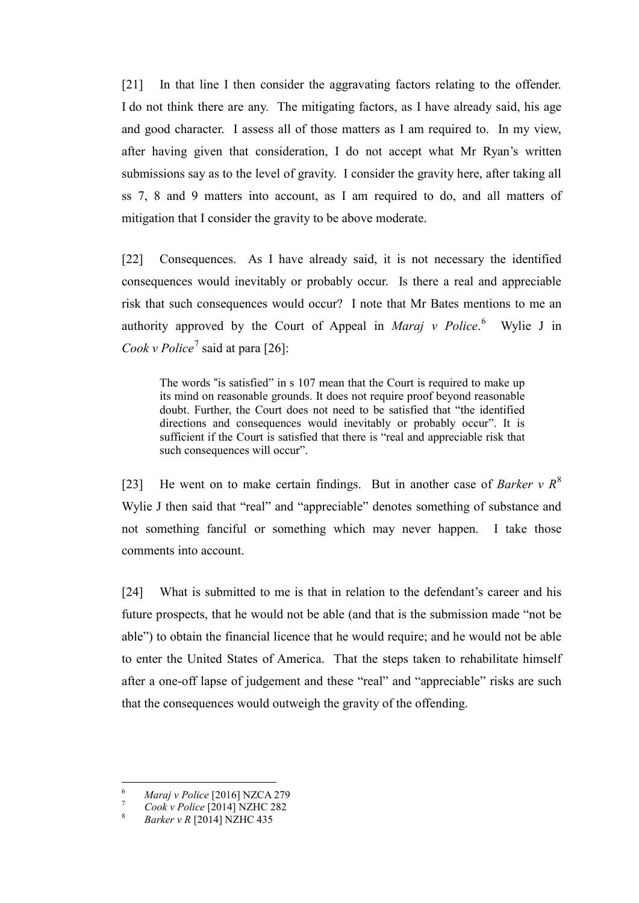[21] In that line I then consider the aggravating factors relating to the offender. I do not think there are any. The mitigating factors, as I have already said, his age and good character. I assess all of those matters as I am required to. In my view, after having given that consideration, I do not accept what Mr Ryan's written submissions say as to the level of gravity. I consider the gravity here, after taking all ss 7, 8 and 9 matters into account, as I am required to do, and all matters of mitigation that I consider the gravity to be above moderate.

[22] Consequences. As I have already said, it is not necessary the identified consequences would inevitably or probably occur. Is there a real and appreciable risk that such consequences would occur? I note that Mr Bates mentions to me an authority approved by the Court of Appeal in *Maraj v Police*.<sup>[6](#page-7-0)</sup> Wylie J in *Cook v Police*[7](#page-7-1) said at para [26]:

The words "is satisfied" in s 107 mean that the Court is required to make up its mind on reasonable grounds. It does not require proof beyond reasonable doubt. Further, the Court does not need to be satisfied that "the identified directions and consequences would inevitably or probably occur". It is sufficient if the Court is satisfied that there is "real and appreciable risk that such consequences will occur".

[23] He went on to make certain findings. But in another case of *Barker*  $v R^8$  $v R^8$ Wylie J then said that "real" and "appreciable" denotes something of substance and not something fanciful or something which may never happen. I take those comments into account.

[24] What is submitted to me is that in relation to the defendant's career and his future prospects, that he would not be able (and that is the submission made "not be able") to obtain the financial licence that he would require; and he would not be able to enter the United States of America. That the steps taken to rehabilitate himself after a one-off lapse of judgement and these "real" and "appreciable" risks are such that the consequences would outweigh the gravity of the offending.

<span id="page-7-1"></span><span id="page-7-0"></span><sup>6</sup> *Maraj v Police* [2016] NZCA 279 <sup>7</sup> *Cook v Police* [2014] NZHC 282 <sup>8</sup> *Barker v R* [2014] NZHC 435

<span id="page-7-2"></span>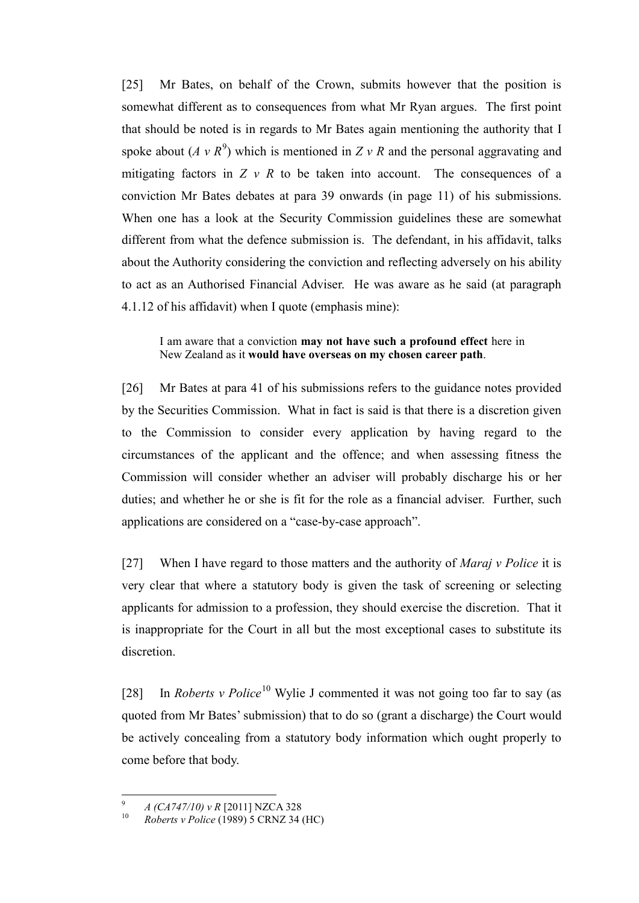[25] Mr Bates, on behalf of the Crown, submits however that the position is somewhat different as to consequences from what Mr Ryan argues. The first point that should be noted is in regards to Mr Bates again mentioning the authority that I spoke about  $(A \vee R^9)$  $(A \vee R^9)$  $(A \vee R^9)$  which is mentioned in  $Z \vee R$  and the personal aggravating and mitigating factors in  $Z \vee R$  to be taken into account. The consequences of a conviction Mr Bates debates at para 39 onwards (in page 11) of his submissions. When one has a look at the Security Commission guidelines these are somewhat different from what the defence submission is. The defendant, in his affidavit, talks about the Authority considering the conviction and reflecting adversely on his ability to act as an Authorised Financial Adviser. He was aware as he said (at paragraph 4.1.12 of his affidavit) when I quote (emphasis mine):

I am aware that a conviction **may not have such a profound effect** here in New Zealand as it **would have overseas on my chosen career path**.

[26] Mr Bates at para 41 of his submissions refers to the guidance notes provided by the Securities Commission. What in fact is said is that there is a discretion given to the Commission to consider every application by having regard to the circumstances of the applicant and the offence; and when assessing fitness the Commission will consider whether an adviser will probably discharge his or her duties; and whether he or she is fit for the role as a financial adviser. Further, such applications are considered on a "case-by-case approach".

[27] When I have regard to those matters and the authority of *Maraj v Police* it is very clear that where a statutory body is given the task of screening or selecting applicants for admission to a profession, they should exercise the discretion. That it is inappropriate for the Court in all but the most exceptional cases to substitute its discretion.

[28] In *Roberts v Police*<sup>[10](#page-8-1)</sup> Wylie J commented it was not going too far to say (as quoted from Mr Bates' submission) that to do so (grant a discharge) the Court would be actively concealing from a statutory body information which ought properly to come before that body.

<span id="page-8-1"></span><span id="page-8-0"></span><sup>&</sup>lt;sup>9</sup> *A (CA747/10) v R* [2011] NZCA 328

<sup>10</sup> *Roberts v Police* (1989) 5 CRNZ 34 (HC)